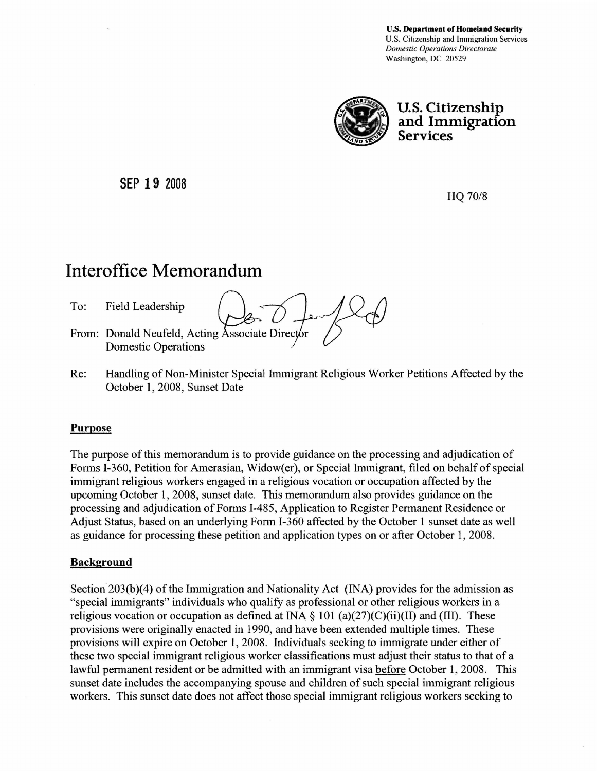u.s. Department of Homeland Security U.S. Citizenship and Immigration Services *Domestic Operations Directorate*  Washington, DC 20529



u.s. Citizenship and Immigration Services

SEP 19 2008

HQ *70/8* 

## Interoffice Memorandum

To:

From: Donald Neufeld, Acting Associate Director Field Leadership  $\bigcirc$   $\bigcirc$   $\bigcirc$   $\bigcirc$   $\bigcirc$   $\bigcirc$ Domestic Operations

Re: Handling of Non-Minister Special Immigrant Religious Worker Petitions Affected by the October 1, 2008, Sunset Date

## Purpose

The purpose of this memorandum is to provide guidance on the processing and adjudication of Forms I-360, Petition for Amerasian, Widow(er), or Special Immigrant, filed on behalf of special immigrant religious workers engaged in a religious vocation or occupation affected by the upcoming October 1, 2008, sunset date. This memorandum also provides guidance on the processing and adjudication of Forms 1-485, Application to Register Permanent Residence or Adjust Status, based on an underlying Form 1-360 affected by the October 1 sunset date as well as guidance for processing these petition and application types on or after October 1, 2008.

## Background

Section 203(b)(4) of the Immigration and Nationality Act (INA) provides for the admission as "special immigrants" individuals who qualify as professional or other religious workers in a religious vocation or occupation as defined at INA  $\S$  101 (a)(27)(C)(ii)(II) and (III). These provisions were originally enacted in 1990, and have been extended multiple times. These provisions will expire on October 1, 2008. Individuals seeking to immigrate under either of these two special immigrant religious worker classifications must adjust their status to that of a lawful permanent resident or be admitted with an immigrant visa before October 1, 2008. This sunset date includes the accompanying spouse and children of such special immigrant religious workers. This sunset date does not affect those special immigrant religious workers seeking to